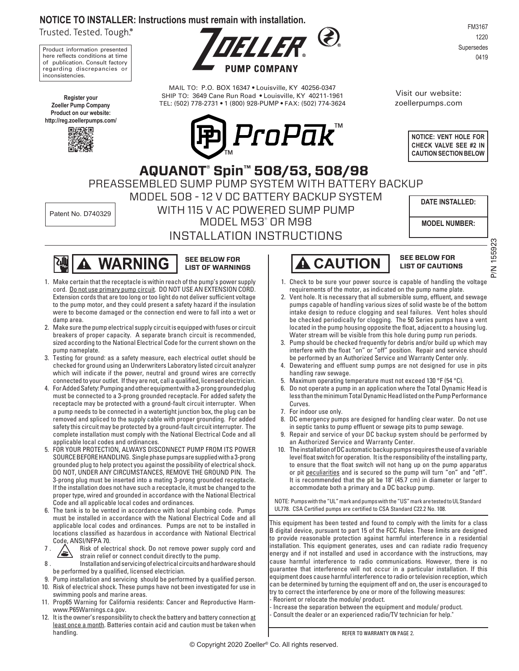#### **NOTICE TO INSTALLER: Instructions must remain with installation.**

Trusted. Tested. Tough.®

Product information presented here reflects conditions at time of publication. Consult factory regarding discrepancies or inconsistencies.

**Register your Zoeller Pump Company Product on our website: http://reg.zoellerpumps.com/**





MAIL TO: P.O. BOX 16347 • Louisville, KY 40256-0347 SHIP TO: 3649 Cane Run Road • Louisville, KY 40211-1961 TEL: (502) 778-2731 • 1 (800) 928-PUMP • FAX: (502) 774-3624



FM3167 1220 Supersedes 0419

Visit our website: zoellerpumps.com



PREASSEMBLED SUMP PUMP SYSTEM WITH BATTERY BACKUP MODEL 508 - 12 V DC BATTERY BACKUP SYSTEM WITH 115 V AC POWERED SUMP PUMP MODEL M53® OR M98 Patent No. D740329  **AQUANOT® Spin™ 508/53, 508/98**

INSTALLATION INSTRUCTIONS

**DATE INSTALLED:**

**MODEL NUMBER:**

P/N 155923

**PSGGL N/c** 



#### **SEE BELOW FOR LIST OF WARNINGS**

- 1. Make certain that the receptacle is within reach of the pump's power supply cord. Do not use primary pump circuit. DO NOT USE AN EXTENSION CORD. Extension cords that are too long or too light do not deliver sufficient voltage to the pump motor, and they could present a safety hazard if the insulation were to become damaged or the connection end were to fall into a wet or damp area.
- 2. Make sure the pump electrical supply circuit is equipped with fuses or circuit breakers of proper capacity. A separate branch circuit is recommended, sized according to the National Electrical Code for the current shown on the pump nameplate.
- 3. Testing for ground: as a safety measure, each electrical outlet should be checked for ground using an Underwriters Laboratory listed circuit analyzer which will indicate if the power, neutral and ground wires are correctly connected to your outlet. If they are not, call a qualified, licensed electrician.
- 4. For Added Safety: Pumping and other equipment with a 3-prong grounded plug must be connected to a 3-prong grounded receptacle. For added safety the receptacle may be protected with a ground-fault circuit interrupter. When a pump needs to be connected in a watertight junction box, the plug can be removed and spliced to the supply cable with proper grounding. For added safety this circuit may be protected by a ground-fault circuit interrupter. The complete installation must comply with the National Electrical Code and all applicable local codes and ordinances.
- 5. FOR YOUR PROTECTION, ALWAYS DISCONNECT PUMP FROM ITS POWER SOURCE BEFORE HANDLING. Single phase pumps are supplied with a 3-prong grounded plug to help protect you against the possibility of electrical shock. DO NOT, UNDER ANY CIRCUMSTANCES, REMOVE THE GROUND PIN. The 3-prong plug must be inserted into a mating 3-prong grounded receptacle. If the installation does not have such a receptacle, it must be changed to the proper type, wired and grounded in accordance with the National Electrical Code and all applicable local codes and ordinances.
- 6. The tank is to be vented in accordance with local plumbing code. Pumps must be installed in accordance with the National Electrical Code and all applicable local codes and ordinances. Pumps are not to be installed in locations classified as hazardous in accordance with National Electrical Code, ANSI/NFPA 70.
- 7.  $\sum_{\text{triangle of } c}$  Risk of electrical shock. Do not remove power supply cord and strain relief or connect conduit directly to the pump.
- 8. Installation and servicing of electrical circuits and hardware should be performed by a qualified, licensed electrician.
- 9. Pump installation and servicing should be performed by a qualified person.
- 10. Risk of electrical shock. These pumps have not been investigated for use in swimming pools and marine areas.
- 11. Prop65 Warning for California residents: Cancer and Reproductive Harmwww.P65Warnings.ca.gov.
- 12. It is the owner's responsibility to check the battery and battery connection at least once a month. Batteries contain acid and caution must be taken when handling.

# **CAUTION** SEE BELOW FOR

## **LIST OF CAUTIONS**

- 1. Check to be sure your power source is capable of handling the voltage requirements of the motor, as indicated on the pump name plate.
- 2. Vent hole. It is necessary that all submersible sump, effluent, and sewage pumps capable of handling various sizes of solid waste be of the bottom intake design to reduce clogging and seal failures. Vent holes should be checked periodically for clogging. The 50 Series pumps have a vent located in the pump housing opposite the float, adjacent to a housing lug. Water stream will be visible from this hole during pump run periods.
- 3. Pump should be checked frequently for debris and/or build up which may interfere with the float "on" or "off" position. Repair and service should be performed by an Authorized Service and Warranty Center only.
- 4. Dewatering and effluent sump pumps are not designed for use in pits handling raw sewage.
- 5. Maximum operating temperature must not exceed 130 °F (54 °C).
- 6. Do not operate a pump in an application where the Total Dynamic Head is less than the minimum Total Dynamic Head listed on the Pump Performance Curves.
- 7. For indoor use only.
- 8. DC emergency pumps are designed for handling clear water. Do not use in septic tanks to pump effluent or sewage pits to pump sewage.
- Repair and service of your DC backup system should be performed by an Authorized Service and Warranty Center.
- 10. The installation of DC automatic backup pumps requires the use of a variable level float switch for operation. It is the responsibility of the installing party, to ensure that the float switch will not hang up on the pump apparatus or pit peculiarities and is secured so the pump will turn "on" and "off". It is recommended that the pit be 18" (45.7 cm) in diameter or larger to accommodate both a primary and a DC backup pump.

NOTE: Pumps with the "UL" mark and pumps with the "US" mark are tested to UL Standard UL778. CSA Certified pumps are certified to CSA Standard C22.2 No. 108.

This equipment has been tested and found to comply with the limits for a class B digital device, pursuant to part 15 of the FCC Rules. These limits are designed to provide reasonable protection against harmful interference in a residential installation. This equipment generates, uses and can radiate radio frequency energy and if not installed and used in accordance with the instructions, may cause harmful interference to radio communications. However, there is no guarantee that interference will not occur in a particular installation. If this equipment does cause harmful interference to radio or television reception, which can be determined by turning the equipment off and on, the user is encouraged to try to correct the interference by one or more of the following measures:

- Reorient or relocate the module/ product.
- Increase the separation between the equipment and module/ product. Consult the dealer or an experienced radio/TV technician for help."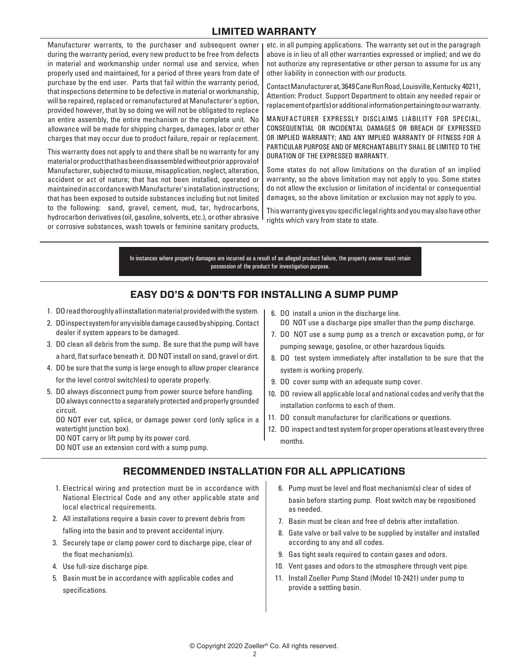## **LIMITED WARRANTY**

Manufacturer warrants, to the purchaser and subsequent owner during the warranty period, every new product to be free from defects in material and workmanship under normal use and service, when properly used and maintained, for a period of three years from date of purchase by the end user. Parts that fail within the warranty period, that inspections determine to be defective in material or workmanship, will be repaired, replaced or remanufactured at Manufacturer's option, provided however, that by so doing we will not be obligated to replace an entire assembly, the entire mechanism or the complete unit. No allowance will be made for shipping charges, damages, labor or other charges that may occur due to product failure, repair or replacement.

This warranty does not apply to and there shall be no warranty for any material or product that has been disassembled without prior approval of Manufacturer, subjected to misuse, misapplication, neglect, alteration, accident or act of nature; that has not been installed, operated or maintained in accordance with Manufacturer's installation instructions; that has been exposed to outside substances including but not limited to the following: sand, gravel, cement, mud, tar, hydrocarbons, hydrocarbon derivatives (oil, gasoline, solvents, etc.), or other abrasive or corrosive substances, wash towels or feminine sanitary products,

etc. in all pumping applications. The warranty set out in the paragraph above is in lieu of all other warranties expressed or implied; and we do not authorize any representative or other person to assume for us any other liability in connection with our products.

Contact Manufacturer at, 3649 Cane Run Road, Louisville, Kentucky 40211, Attention: Product Support Department to obtain any needed repair or replacement of part(s) or additional information pertaining to our warranty.

MANUFACTURER EXPRESSLY DISCLAIMS LIABILITY FOR SPECIAL, CONSEQUENTIAL OR INCIDENTAL DAMAGES OR BREACH OF EXPRESSED OR IMPLIED WARRANTY; AND ANY IMPLIED WARRANTY OF FITNESS FOR A PARTICULAR PURPOSE AND OF MERCHANTABILITY SHALL BE LIMITED TO THE DURATION OF THE EXPRESSED WARRANTY.

Some states do not allow limitations on the duration of an implied warranty, so the above limitation may not apply to you. Some states do not allow the exclusion or limitation of incidental or consequential damages, so the above limitation or exclusion may not apply to you.

This warranty gives you specific legal rights and you may also have other rights which vary from state to state.

In instances where property damages are incurred as a result of an alleged product failure, the property owner must retain possession of the product for investigation purpose.

#### **EASY DO'S & DON'TS FOR INSTALLING A SUMP PUMP**

- 1. DO read thoroughly all installation material provided with the system.
- 2. DO inspect system for any visible damage caused by shipping. Contact dealer if system appears to be damaged.
- 3. DO clean all debris from the sump. Be sure that the pump will have a hard, flat surface beneath it. DO NOT install on sand, gravel or dirt.
- 4. DO be sure that the sump is large enough to allow proper clearance for the level control switch(es) to operate properly.
- 5. DO always disconnect pump from power source before handling. DO always connect to a separately protected and properly grounded circuit.

 DO NOT ever cut, splice, or damage power cord (only splice in a watertight junction box).

DO NOT carry or lift pump by its power cord.

DO NOT use an extension cord with a sump pump.

- 6. DO install a union in the discharge line. DO NOT use a discharge pipe smaller than the pump discharge.
- 7. DO NOT use a sump pump as a trench or excavation pump, or for pumping sewage, gasoline, or other hazardous liquids.
- 8. DO test system immediately after installation to be sure that the system is working properly.
- 9. DO cover sump with an adequate sump cover.
- 10. DO review all applicable local and national codes and verify that the installation conforms to each of them.
- 11. DO consult manufacturer for clarifications or questions.
- 12. DO inspect and test system for proper operations at least every three months.

## **RECOMMENDED INSTALLATION FOR ALL APPLICATIONS**

- 1. Electrical wiring and protection must be in accordance with National Electrical Code and any other applicable state and local electrical requirements.
- 2. All installations require a basin cover to prevent debris from falling into the basin and to prevent accidental injury.
- 3. Securely tape or clamp power cord to discharge pipe, clear of the float mechanism(s).
- 4. Use full-size discharge pipe.
- 5. Basin must be in accordance with applicable codes and specifications.
- 6. Pump must be level and float mechanism(s) clear of sides of basin before starting pump. Float switch may be repositioned as needed.
- 7. Basin must be clean and free of debris after installation.
- 8. Gate valve or ball valve to be supplied by installer and installed according to any and all codes.
- 9. Gas tight seals required to contain gases and odors.
- 10. Vent gases and odors to the atmosphere through vent pipe.
- 11. Install Zoeller Pump Stand (Model 10-2421) under pump to provide a settling basin.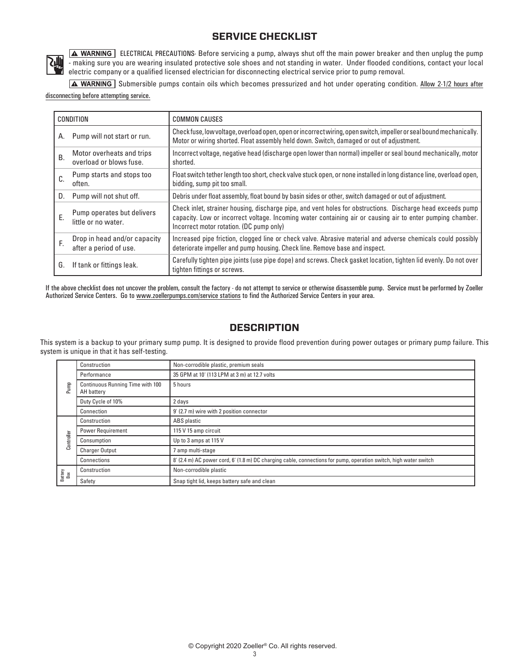## **SERVICE CHECKLIST**



**A WARNING** ELECTRICAL PRECAUTIONS- Before servicing a pump, always shut off the main power breaker and then unplug the pump - making sure you are wearing insulated protective sole shoes and not standing in water. Under flooded conditions, contact your local electric company or a qualified licensed electrician for disconnecting electrical service prior to pump removal.

A WARNING Submersible pumps contain oils which becomes pressurized and hot under operating condition. Allow 2-1/2 hours after disconnecting before attempting service.

| <b>CONDITION</b> |                                                        | <b>COMMON CAUSES</b>                                                                                                                                                                                                                                                  |
|------------------|--------------------------------------------------------|-----------------------------------------------------------------------------------------------------------------------------------------------------------------------------------------------------------------------------------------------------------------------|
| А.               | Pump will not start or run.                            | Checkfuse, low voltage, overload open, open or incorrect wiring, open switch, impeller or seal bound mechanically.<br>Motor or wiring shorted. Float assembly held down. Switch, damaged or out of adjustment.                                                        |
| <b>B.</b>        | Motor overheats and trips<br>overload or blows fuse.   | Incorrect voltage, negative head (discharge open lower than normal) impeller or seal bound mechanically, motor<br>shorted.                                                                                                                                            |
| C.               | Pump starts and stops too<br>often.                    | Float switch tether length too short, check valve stuck open, or none installed in long distance line, overload open,<br>bidding, sump pit too small.                                                                                                                 |
| D.               | Pump will not shut off.                                | Debris under float assembly, float bound by basin sides or other, switch damaged or out of adjustment.                                                                                                                                                                |
| Ε.               | Pump operates but delivers<br>little or no water.      | Check inlet, strainer housing, discharge pipe, and vent holes for obstructions. Discharge head exceeds pump<br>capacity. Low or incorrect voltage. Incoming water containing air or causing air to enter pumping chamber.<br>Incorrect motor rotation. (DC pump only) |
| F.               | Drop in head and/or capacity<br>after a period of use. | Increased pipe friction, clogged line or check valve. Abrasive material and adverse chemicals could possibly<br>deteriorate impeller and pump housing. Check line. Remove base and inspect.                                                                           |
| G.               | If tank or fittings leak.                              | Carefully tighten pipe joints (use pipe dope) and screws. Check gasket location, tighten lid evenly. Do not over<br>tighten fittings or screws.                                                                                                                       |

If the above checklist does not uncover the problem, consult the factory - do not attempt to service or otherwise disassemble pump. Service must be performed by Zoeller Authorized Service Centers. Go to www.zoellerpumps.com/service stations to find the Authorized Service Centers in your area.

#### **DESCRIPTION**

This system is a backup to your primary sump pump. It is designed to provide flood prevention during power outages or primary pump failure. This system is unique in that it has self-testing.

| Pump           | Construction                                   | Non-corrodible plastic, premium seals                                                                             |  |
|----------------|------------------------------------------------|-------------------------------------------------------------------------------------------------------------------|--|
|                | Performance                                    | 35 GPM at 10' (113 LPM at 3 m) at 12.7 volts                                                                      |  |
|                | Continuous Running Time with 100<br>AH battery | 5 hours                                                                                                           |  |
|                | Duty Cycle of 10%                              | 2 days                                                                                                            |  |
|                | Connection                                     | 9' (2.7 m) wire with 2 position connector                                                                         |  |
| Controller     | Construction                                   | ABS plastic                                                                                                       |  |
|                | <b>Power Requirement</b>                       | 115 V 15 amp circuit                                                                                              |  |
|                | Consumption                                    | Up to 3 amps at 115 V                                                                                             |  |
|                | <b>Charger Output</b>                          | ' amp multi-stage                                                                                                 |  |
|                | Connections                                    | 8' (2.4 m) AC power cord, 6' (1.8 m) DC charging cable, connections for pump, operation switch, high water switch |  |
| Battery<br>Box | Construction                                   | Non-corrodible plastic                                                                                            |  |
|                | Safety                                         | Snap tight lid, keeps battery safe and clean                                                                      |  |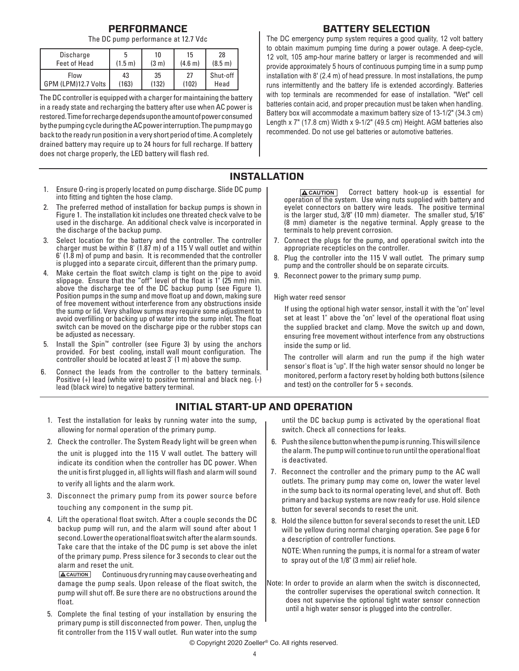#### **PERFORMANCE**

The DC pump performance at 12.7 Vdc

| <b>Discharge</b>    | b                 | 10                | 15      | 28                |
|---------------------|-------------------|-------------------|---------|-------------------|
| <b>Feet of Head</b> | $(1.5 \text{ m})$ | (3 <sub>m</sub> ) | (4.6 m) | $(8.5 \text{ m})$ |
| Flow                | 43                | 35                | 27      | Shut-off          |
| GPM (LPM)12.7 Volts | (163)             | (132)             | (102)   | Head              |

The DC controller is equipped with a charger for maintaining the battery in a ready state and recharging the battery after use when AC power is restored. Time for recharge depends upon the amount of power consumed by the pumping cycle during the AC power interruption. The pump may go back to the ready run position in a very short period of time. A completely drained battery may require up to 24 hours for full recharge. If battery does not charge properly, the LED battery will flash red.

- 1. Ensure O-ring is properly located on pump discharge. Slide DC pump into fitting and tighten the hose clamp.
- 2. The preferred method of installation for backup pumps is shown in Figure 1. The installation kit includes one threated check valve to be used in the discharge. An additional check valve is incorporated in the discharge of the backup pump.
- 3. Select location for the battery and the controller. The controller charger must be within 8' (1.87 m) of a 115 V wall outlet and within 6' (1.8 m) of pump and basin. It is recommended that the controller is plugged into a separate circuit, different than the primary pump.
- 4. Make certain the float switch clamp is tight on the pipe to avoid slippage. Ensure that the "off" level of the float is 1" (25 mm) min. above the discharge tee of the DC backup pump (see Figure 1). Position pumps in the sump and move float up and down, making sure of free movement without interference from any obstructions inside the sump or lid. Very shallow sumps may require some adjustment to avoid overfilling or backing up of water into the sump inlet. The float switch can be moved on the discharge pipe or the rubber stops can be adjusted as necessary.
- 5. Install the Spin™ controller (see Figure 3) by using the anchors provided. For best cooling, install wall mount configuration. The controller should be located at least 3' (1 m) above the sump.
- 6. Connect the leads from the controller to the battery terminals. Positive (+) lead (white wire) to positive terminal and black neg. (-) lead (black wire) to negative battery terminal.
	- 1. Test the installation for leaks by running water into the sump, allowing for normal operation of the primary pump.
	- 2. Check the controller. The System Ready light will be green when

the unit is plugged into the 115 V wall outlet. The battery will indicate its condition when the controller has DC power. When the unit is first plugged in, all lights will flash and alarm will sound

to verify all lights and the alarm work.

- 3. Disconnect the primary pump from its power source before touching any component in the sump pit.
- 4. Lift the operational float switch. After a couple seconds the DC backup pump will run, and the alarm will sound after about 1 second. Lower the operational float switch after the alarm sounds. Take care that the intake of the DC pump is set above the inlet of the primary pump. Press silence for 3 seconds to clear out the alarm and reset the unit.

**A CAUTION** Continuous dry running may cause overheating and damage the pump seals. Upon release of the float switch, the pump will shut off. Be sure there are no obstructions around the float.

5. Complete the final testing of your installation by ensuring the primary pump is still disconnected from power. Then, unplug the fit controller from the 115 V wall outlet. Run water into the sump

#### **BATTERY SELECTION**

The DC emergency pump system requires a good quality, 12 volt battery to obtain maximum pumping time during a power outage. A deep-cycle, 12 volt, 105 amp-hour marine battery or larger is recommended and will provide approximately 5 hours of continuous pumping time in a sump pump installation with 8' (2.4 m) of head pressure. In most installations, the pump runs intermittently and the battery life is extended accordingly. Batteries with top terminals are recommended for ease of installation. "Wet" cell batteries contain acid, and proper precaution must be taken when handling. Battery box will accommodate a maximum battery size of 13-1/2" (34.3 cm) Length x 7" (17.8 cm) Width x 9-1/2" (49.5 cm) Height. AGM batteries also recommended. Do not use gel batteries or automotive batteries.

#### **INSTALLATION**

**ACAUTION** Correct battery hook-up is essential for operation of the system. Use wing nuts supplied with battery and eyelet connectors on battery wire leads. The positive terminal is the larger stud, 3/8" (10 mm) diameter. The smaller stud, 5/16" (8 mm) diameter is the negative terminal. Apply grease to the terminals to help prevent corrosion.

- 7. Connect the plugs for the pump, and operational switch into the appropriate recepticles on the controller.
- 8. Plug the controller into the 115 V wall outlet. The primary sump pump and the controller should be on separate circuits.
- 9. Reconnect power to the primary sump pump.

#### High water reed sensor

 If using the optional high water sensor, install it with the "on" level set at least 1" above the "on" level of the operational float using the supplied bracket and clamp. Move the switch up and down, ensuring free movement without interfence from any obstructions inside the sump or lid.

 The controller will alarm and run the pump if the high water sensor's float is "up". If the high water sensor should no longer be monitored, perform a factory reset by holding both buttons (silence and test) on the controller for 5 + seconds.

#### **INITIAL START-UP AND OPERATION**

until the DC backup pump is activated by the operational float switch. Check all connections for leaks.

- 6. Push the silence button when the pump is running. This will silence the alarm. The pump will continue to run until the operational float is deactivated.
- 7. Reconnect the controller and the primary pump to the AC wall outlets. The primary pump may come on, lower the water level in the sump back to its normal operating level, and shut off. Both primary and backup systems are now ready for use. Hold silence button for several seconds to reset the unit.
- 8. Hold the silence button for several seconds to reset the unit. LED will be yellow during normal charging operation. See page 6 for a description of controller functions.

 NOTE: When running the pumps, it is normal for a stream of water to spray out of the 1/8" (3 mm) air relief hole.

Note: In order to provide an alarm when the switch is disconnected, the controller supervises the operational switch connection. It does not supervise the optional tight water sensor connection until a high water sensor is plugged into the controller.

© Copyright 2020 Zoeller® Co. All rights reserved.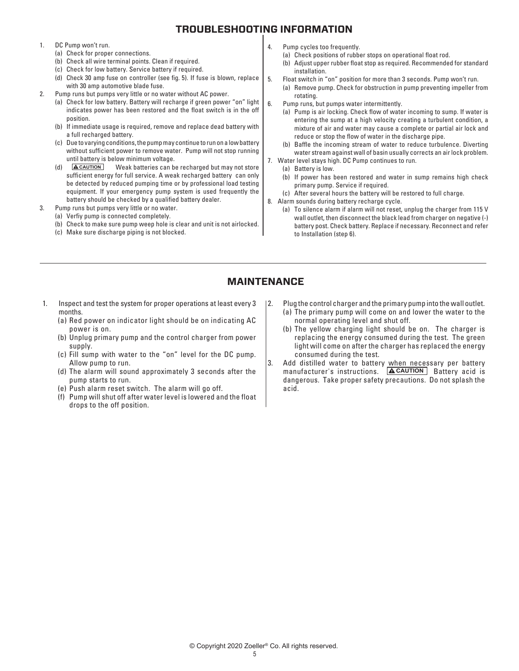## **TROUBLESHOOTING INFORMATION**

- 1. DC Pump won't run.
	- (a) Check for proper connections.
	- (b) Check all wire terminal points. Clean if required.
	- (c) Check for low battery. Service battery if required.
	- (d) Check 30 amp fuse on controller (see fig. 5). If fuse is blown, replace with 30 amp automotive blade fuse.
- 2. Pump runs but pumps very little or no water without AC power.
	- (a) Check for low battery. Battery will recharge if green power "on" light indicates power has been restored and the float switch is in the off position.
	- (b) If immediate usage is required, remove and replace dead battery with a full recharged battery.
	- (c) Due to varying conditions, the pump may continue to run on a low battery without sufficient power to remove water. Pump will not stop running until battery is below minimum voltage.<br> **ACAUTION** Weak batteries can b
	- (d) **CAUTION** Weak batteries can be recharged but may not store sufficient energy for full service. A weak recharged battery can only be detected by reduced pumping time or by professional load testing equipment. If your emergency pump system is used frequently the battery should be checked by a qualified battery dealer.
- 3. Pump runs but pumps very little or no water.
	- (a) Verfiy pump is connected completely.
		- (b) Check to make sure pump weep hole is clear and unit is not airlocked.
		- (c) Make sure discharge piping is not blocked.
- 4. Pump cycles too frequently.
	- (a) Check positions of rubber stops on operational float rod.
	- (b) Adjust upper rubber float stop as required. Recommended for standard installation.
- 5. Float switch in "on" position for more than 3 seconds. Pump won't run.
	- (a) Remove pump. Check for obstruction in pump preventing impeller from rotating.
- 6. Pump runs, but pumps water intermittently.
	- (a) Pump is air locking. Check flow of water incoming to sump. If water is entering the sump at a high velocity creating a turbulent condition, a mixture of air and water may cause a complete or partial air lock and reduce or stop the flow of water in the discharge pipe.
	- (b) Baffle the incoming stream of water to reduce turbulence. Diverting water stream against wall of basin usually corrects an air lock problem.
- 7. Water level stays high. DC Pump continues to run.
	- (a) Battery is low.
	- (b) If power has been restored and water in sump remains high check primary pump. Service if required.
	- (c) After several hours the battery will be restored to full charge.
- 8. Alarm sounds during battery recharge cycle.
	- (a) To silence alarm if alarm will not reset, unplug the charger from 115 V wall outlet, then disconnect the black lead from charger on negative (-) battery post. Check battery. Replace if necessary. Reconnect and refer to Installation (step 6).

## **MAINTENANCE**

- 1. Inspect and test the system for proper operations at least every 3 months.
	- (a) Red power on indicator light should be on indicating AC power is on.
	- (b) Unplug primary pump and the control charger from power supply.
	- (c) Fill sump with water to the "on" level for the DC pump. Allow pump to run.
	- (d) The alarm will sound approximately 3 seconds after the pump starts to run.
	- (e) Push alarm reset switch. The alarm will go off.
	- (f) Pump will shut off after water level is lowered and the float drops to the off position.
- 2. Plug the control charger and the primary pump into the wall outlet.
	- (a) The primary pump will come on and lower the water to the normal operating level and shut off.
	- (b) The yellow charging light should be on. The charger is replacing the energy consumed during the test. The green light will come on after the charger has replaced the energy consumed during the test.
- 3. Add distilled water to battery when necessary per battery manufacturer's instructions. **ACAUTION** Battery acid is dangerous. Take proper safety precautions. Do not splash the acid.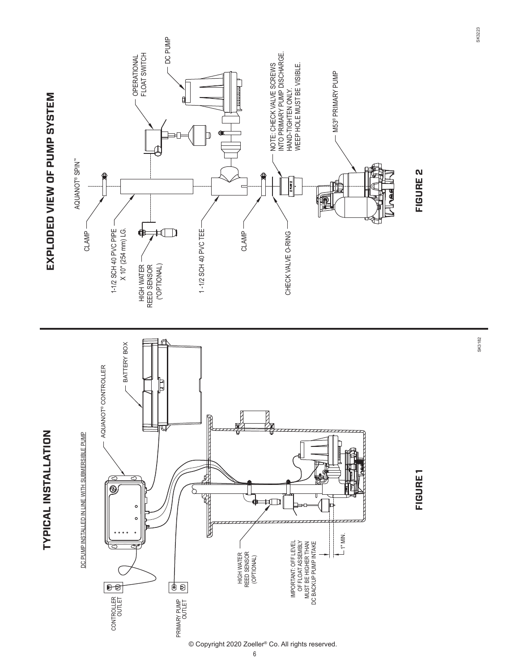

SK3182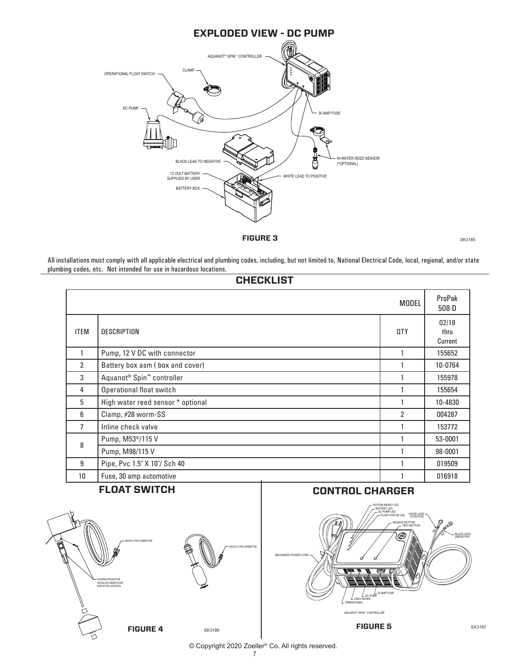

**FIGURE 3** SK3185

All installations must comply with all applicable electrical and plumbing codes, including, but not limited to, National Electrical Code, local, regional, and/or state plumbing codes, etc. Not intended for use in hazardous locations.

#### **CHECKLIST**

|                 |                                                   | <b>MODEL</b> | ProPak<br>$508 - D$      |
|-----------------|---------------------------------------------------|--------------|--------------------------|
| <b>ITEM</b>     | <b>DESCRIPTION</b>                                | <b>QTY</b>   | 02/19<br>thru<br>Current |
|                 | Pump, 12 V DC with connector                      |              | 155652                   |
| $\overline{2}$  | Battery box asm (box and cover)                   |              | 10-0764                  |
| 3               | Aquanot <sup>®</sup> Spin <sup>™</sup> controller |              | 155978                   |
| 4               | Operational float switch                          |              | 155654                   |
| 5               | High water reed sensor * optional                 |              | 10-4830                  |
| 6               | Clamp, #28 worm-SS                                | 2            | 004287                   |
| 7               | Inline check valve                                |              | 153772                   |
| 8               | Pump, M53 <sup>®</sup> /115 V                     |              | 53-0001                  |
|                 | Pump, M98/115 V                                   |              | 98-0001                  |
| 9               | Pipe, Pvc 1.5" X 10"/ Sch 40                      |              | 019509                   |
| 10 <sup>1</sup> | Fuse, 30 amp automotive                           |              | 016918                   |

## **FLOAT SWITCH**





#### **CONTROL CHARGER**



© Copyright 2020 Zoeller® Co. All rights reserved.